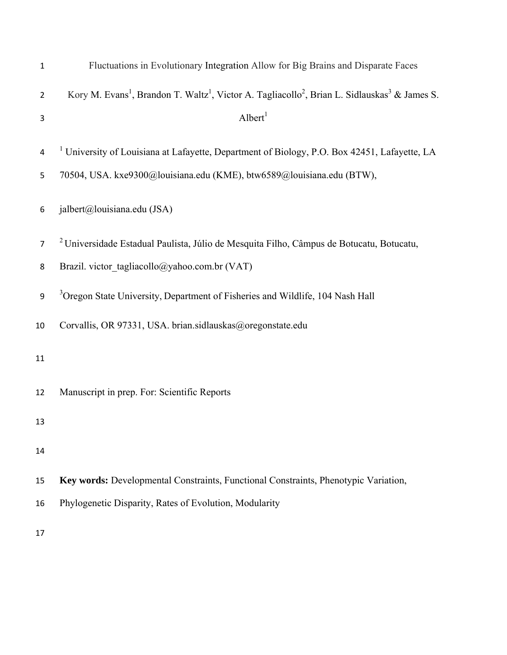| $\mathbf 1$    | Fluctuations in Evolutionary Integration Allow for Big Brains and Disparate Faces                                                             |
|----------------|-----------------------------------------------------------------------------------------------------------------------------------------------|
| $\overline{2}$ | Kory M. Evans <sup>1</sup> , Brandon T. Waltz <sup>1</sup> , Victor A. Tagliacollo <sup>2</sup> , Brian L. Sidlauskas <sup>3</sup> & James S. |
| 3              | Albert <sup>1</sup>                                                                                                                           |
| 4              | University of Louisiana at Lafayette, Department of Biology, P.O. Box 42451, Lafayette, LA                                                    |
| 5              | 70504, USA. kxe9300@louisiana.edu (KME), btw6589@louisiana.edu (BTW),                                                                         |
| 6              | jalbert@louisiana.edu (JSA)                                                                                                                   |
| 7              | <sup>2</sup> Universidade Estadual Paulista, Júlio de Mesquita Filho, Câmpus de Botucatu, Botucatu,                                           |
| 8              | Brazil. victor_tagliacollo@yahoo.com.br (VAT)                                                                                                 |
| 9              | <sup>3</sup> Oregon State University, Department of Fisheries and Wildlife, 104 Nash Hall                                                     |
| 10             | Corvallis, OR 97331, USA. brian.sidlauskas@oregonstate.edu                                                                                    |
| 11             |                                                                                                                                               |
| 12             | Manuscript in prep. For: Scientific Reports                                                                                                   |
| 13             |                                                                                                                                               |
| 14             |                                                                                                                                               |
| 15             | Key words: Developmental Constraints, Functional Constraints, Phenotypic Variation,                                                           |
| 16             | Phylogenetic Disparity, Rates of Evolution, Modularity                                                                                        |
| 17             |                                                                                                                                               |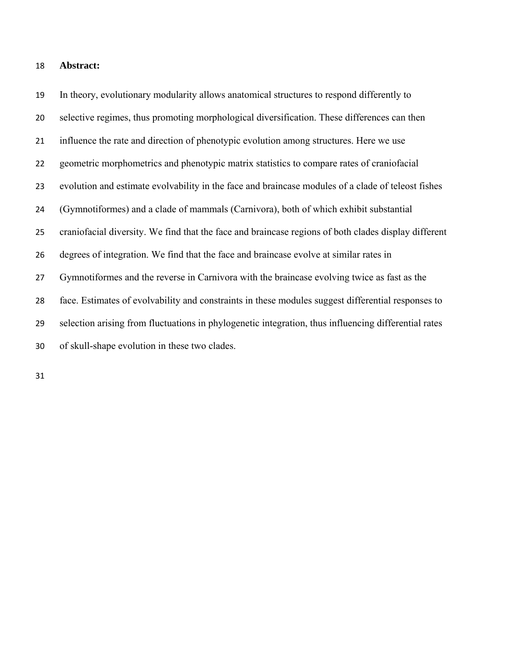### **Abstract:**

In theory, evolutionary modularity allows anatomical structures to respond differently to selective regimes, thus promoting morphological diversification. These differences can then 21 influence the rate and direction of phenotypic evolution among structures. Here we use geometric morphometrics and phenotypic matrix statistics to compare rates of craniofacial evolution and estimate evolvability in the face and braincase modules of a clade of teleost fishes (Gymnotiformes) and a clade of mammals (Carnivora), both of which exhibit substantial craniofacial diversity. We find that the face and braincase regions of both clades display different degrees of integration. We find that the face and braincase evolve at similar rates in Gymnotiformes and the reverse in Carnivora with the braincase evolving twice as fast as the face. Estimates of evolvability and constraints in these modules suggest differential responses to selection arising from fluctuations in phylogenetic integration, thus influencing differential rates of skull-shape evolution in these two clades.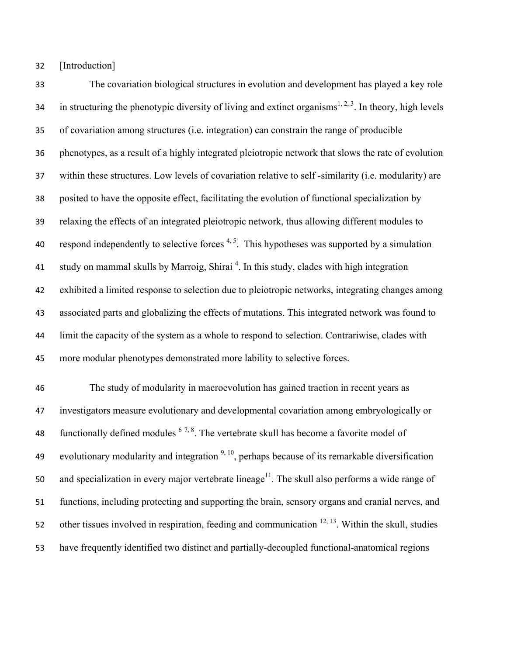[Introduction]

The covariation biological structures in evolution and development has played a key role 34 in structuring the phenotypic diversity of living and extinct organisms<sup>1, 2, 3</sup>. In theory, high levels of covariation among structures (i.e. integration) can constrain the range of producible phenotypes, as a result of a highly integrated pleiotropic network that slows the rate of evolution within these structures. Low levels of covariation relative to self -similarity (i.e. modularity) are posited to have the opposite effect, facilitating the evolution of functional specialization by relaxing the effects of an integrated pleiotropic network, thus allowing different modules to 40 respond independently to selective forces  $4, 5$ . This hypotheses was supported by a simulation 41 study on mammal skulls by Marroig, Shirai<sup>4</sup>. In this study, clades with high integration exhibited a limited response to selection due to pleiotropic networks, integrating changes among associated parts and globalizing the effects of mutations. This integrated network was found to limit the capacity of the system as a whole to respond to selection. Contrariwise, clades with more modular phenotypes demonstrated more lability to selective forces.

The study of modularity in macroevolution has gained traction in recent years as investigators measure evolutionary and developmental covariation among embryologically or 48 functionally defined modules  $67, 8$ . The vertebrate skull has become a favorite model of 49 evolutionary modularity and integration  $9, 10$ , perhaps because of its remarkable diversification 50 and specialization in every major vertebrate lineage<sup>11</sup>. The skull also performs a wide range of functions, including protecting and supporting the brain, sensory organs and cranial nerves, and 52 other tissues involved in respiration, feeding and communication  $12, 13$ . Within the skull, studies have frequently identified two distinct and partially-decoupled functional-anatomical regions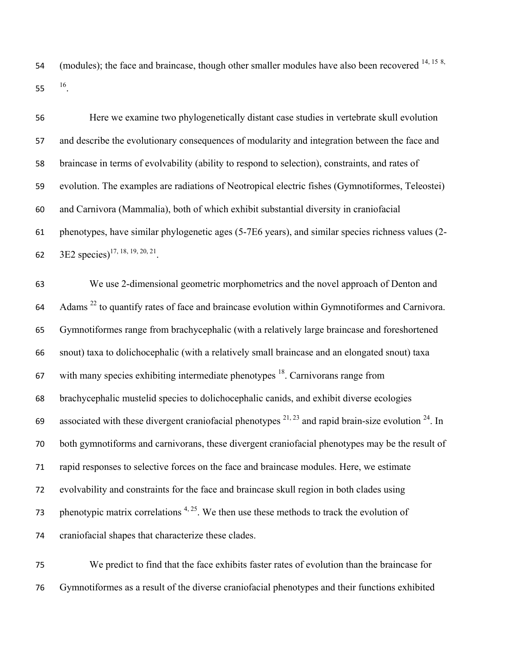54 (modules); the face and braincase, though other smaller modules have also been recovered <sup>14, 15</sup> 8, 55  $^{16}$ .

Here we examine two phylogenetically distant case studies in vertebrate skull evolution and describe the evolutionary consequences of modularity and integration between the face and braincase in terms of evolvability (ability to respond to selection), constraints, and rates of evolution. The examples are radiations of Neotropical electric fishes (Gymnotiformes, Teleostei) and Carnivora (Mammalia), both of which exhibit substantial diversity in craniofacial phenotypes, have similar phylogenetic ages (5-7E6 years), and similar species richness values (2- 62 3E2 species)<sup>17, 18, 19, 20, 21</sup>.

We use 2-dimensional geometric morphometrics and the novel approach of Denton and  $\alpha$  Adams <sup>22</sup> to quantify rates of face and braincase evolution within Gymnotiformes and Carnivora. Gymnotiformes range from brachycephalic (with a relatively large braincase and foreshortened snout) taxa to dolichocephalic (with a relatively small braincase and an elongated snout) taxa 67 with many species exhibiting intermediate phenotypes . Carnivorans range from brachycephalic mustelid species to dolichocephalic canids, and exhibit diverse ecologies 69 associated with these divergent craniofacial phenotypes  $^{21, 23}$  and rapid brain-size evolution  $^{24}$ . In both gymnotiforms and carnivorans, these divergent craniofacial phenotypes may be the result of rapid responses to selective forces on the face and braincase modules. Here, we estimate evolvability and constraints for the face and braincase skull region in both clades using 73 phenotypic matrix correlations  $4, 25$ . We then use these methods to track the evolution of craniofacial shapes that characterize these clades.

We predict to find that the face exhibits faster rates of evolution than the braincase for Gymnotiformes as a result of the diverse craniofacial phenotypes and their functions exhibited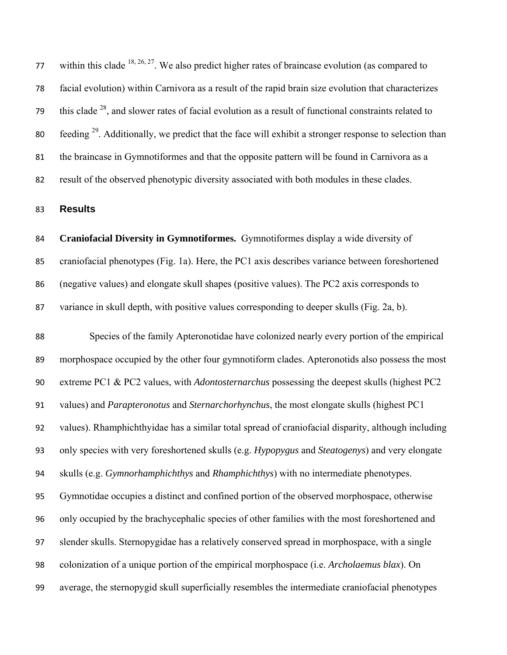77 within this clade  $18, 26, 27$ . We also predict higher rates of braincase evolution (as compared to facial evolution) within Carnivora as a result of the rapid brain size evolution that characterizes this clade  $^{28}$ , and slower rates of facial evolution as a result of functional constraints related to  $\frac{1}{2}$  60 . Feeding <sup>29</sup>. Additionally, we predict that the face will exhibit a stronger response to selection than the braincase in Gymnotiformes and that the opposite pattern will be found in Carnivora as a result of the observed phenotypic diversity associated with both modules in these clades.

#### **Results**

**Craniofacial Diversity in Gymnotiformes.** Gymnotiformes display a wide diversity of craniofacial phenotypes (Fig. 1a). Here, the PC1 axis describes variance between foreshortened (negative values) and elongate skull shapes (positive values). The PC2 axis corresponds to variance in skull depth, with positive values corresponding to deeper skulls (Fig. 2a, b).

Species of the family Apteronotidae have colonized nearly every portion of the empirical morphospace occupied by the other four gymnotiform clades. Apteronotids also possess the most extreme PC1 & PC2 values, with *Adontosternarchus* possessing the deepest skulls (highest PC2 values) and *Parapteronotus* and *Sternarchorhynchus*, the most elongate skulls (highest PC1 values). Rhamphichthyidae has a similar total spread of craniofacial disparity, although including only species with very foreshortened skulls (e.g. *Hypopygus* and *Steatogenys*) and very elongate skulls (e.g. *Gymnorhamphichthys* and *Rhamphichthys*) with no intermediate phenotypes. Gymnotidae occupies a distinct and confined portion of the observed morphospace, otherwise only occupied by the brachycephalic species of other families with the most foreshortened and slender skulls. Sternopygidae has a relatively conserved spread in morphospace, with a single colonization of a unique portion of the empirical morphospace (i.e. *Archolaemus blax*). On average, the sternopygid skull superficially resembles the intermediate craniofacial phenotypes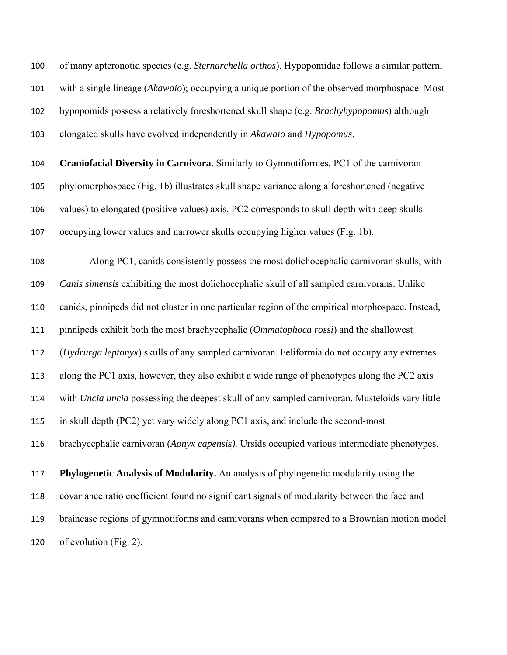of many apteronotid species (e.g. *Sternarchella orthos*). Hypopomidae follows a similar pattern, with a single lineage (*Akawaio*); occupying a unique portion of the observed morphospace. Most hypopomids possess a relatively foreshortened skull shape (e.g. *Brachyhypopomus*) although elongated skulls have evolved independently in *Akawaio* and *Hypopomus*.

**Craniofacial Diversity in Carnivora.** Similarly to Gymnotiformes, PC1 of the carnivoran phylomorphospace (Fig. 1b) illustrates skull shape variance along a foreshortened (negative values) to elongated (positive values) axis. PC2 corresponds to skull depth with deep skulls occupying lower values and narrower skulls occupying higher values (Fig. 1b).

Along PC1, canids consistently possess the most dolichocephalic carnivoran skulls, with *Canis simensis* exhibiting the most dolichocephalic skull of all sampled carnivorans. Unlike canids, pinnipeds did not cluster in one particular region of the empirical morphospace. Instead, pinnipeds exhibit both the most brachycephalic (*Ommatophoca rossi*) and the shallowest (*Hydrurga leptonyx*) skulls of any sampled carnivoran. Feliformia do not occupy any extremes along the PC1 axis, however, they also exhibit a wide range of phenotypes along the PC2 axis with *Uncia uncia* possessing the deepest skull of any sampled carnivoran. Musteloids vary little in skull depth (PC2) yet vary widely along PC1 axis, and include the second-most brachycephalic carnivoran (*Aonyx capensis).* Ursids occupied various intermediate phenotypes. **Phylogenetic Analysis of Modularity.** An analysis of phylogenetic modularity using the covariance ratio coefficient found no significant signals of modularity between the face and braincase regions of gymnotiforms and carnivorans when compared to a Brownian motion model

of evolution (Fig. 2).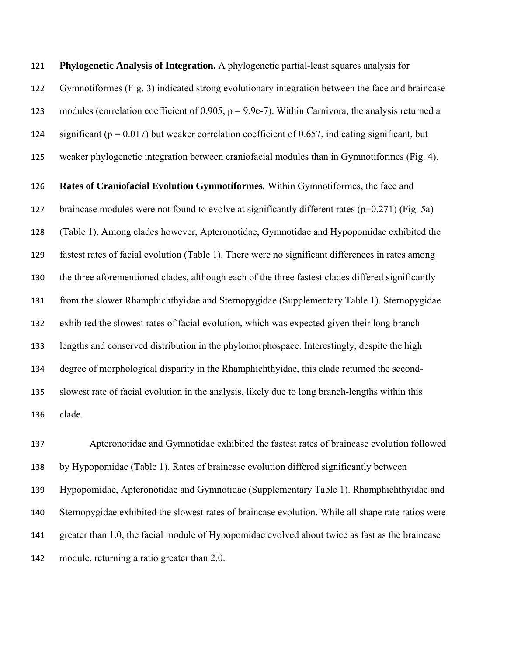**Phylogenetic Analysis of Integration.** A phylogenetic partial-least squares analysis for Gymnotiformes (Fig. 3) indicated strong evolutionary integration between the face and braincase 123 modules (correlation coefficient of 0.905,  $p = 9.9e-7$ ). Within Carnivora, the analysis returned a 124 significant ( $p = 0.017$ ) but weaker correlation coefficient of 0.657, indicating significant, but weaker phylogenetic integration between craniofacial modules than in Gymnotiformes (Fig. 4).

**Rates of Craniofacial Evolution Gymnotiformes***.* Within Gymnotiformes, the face and 127 braincase modules were not found to evolve at significantly different rates (p=0.271) (Fig. 5a) (Table 1). Among clades however, Apteronotidae, Gymnotidae and Hypopomidae exhibited the fastest rates of facial evolution (Table 1). There were no significant differences in rates among the three aforementioned clades, although each of the three fastest clades differed significantly from the slower Rhamphichthyidae and Sternopygidae (Supplementary Table 1). Sternopygidae exhibited the slowest rates of facial evolution, which was expected given their long branch-lengths and conserved distribution in the phylomorphospace. Interestingly, despite the high degree of morphological disparity in the Rhamphichthyidae, this clade returned the second-slowest rate of facial evolution in the analysis, likely due to long branch-lengths within this clade.

Apteronotidae and Gymnotidae exhibited the fastest rates of braincase evolution followed by Hypopomidae (Table 1). Rates of braincase evolution differed significantly between Hypopomidae, Apteronotidae and Gymnotidae (Supplementary Table 1). Rhamphichthyidae and Sternopygidae exhibited the slowest rates of braincase evolution. While all shape rate ratios were greater than 1.0, the facial module of Hypopomidae evolved about twice as fast as the braincase module, returning a ratio greater than 2.0.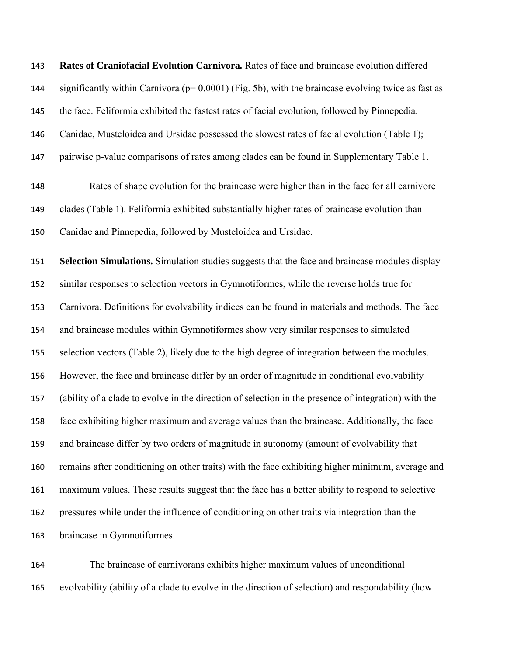**Rates of Craniofacial Evolution Carnivora***.* Rates of face and braincase evolution differed significantly within Carnivora (p= 0.0001) (Fig. 5b), with the braincase evolving twice as fast as the face. Feliformia exhibited the fastest rates of facial evolution, followed by Pinnepedia. Canidae, Musteloidea and Ursidae possessed the slowest rates of facial evolution (Table 1); pairwise p-value comparisons of rates among clades can be found in Supplementary Table 1.

Rates of shape evolution for the braincase were higher than in the face for all carnivore clades (Table 1). Feliformia exhibited substantially higher rates of braincase evolution than Canidae and Pinnepedia, followed by Musteloidea and Ursidae.

**Selection Simulations.** Simulation studies suggests that the face and braincase modules display similar responses to selection vectors in Gymnotiformes, while the reverse holds true for Carnivora. Definitions for evolvability indices can be found in materials and methods. The face and braincase modules within Gymnotiformes show very similar responses to simulated selection vectors (Table 2), likely due to the high degree of integration between the modules. However, the face and braincase differ by an order of magnitude in conditional evolvability (ability of a clade to evolve in the direction of selection in the presence of integration) with the face exhibiting higher maximum and average values than the braincase. Additionally, the face and braincase differ by two orders of magnitude in autonomy (amount of evolvability that remains after conditioning on other traits) with the face exhibiting higher minimum, average and maximum values. These results suggest that the face has a better ability to respond to selective pressures while under the influence of conditioning on other traits via integration than the braincase in Gymnotiformes.

The braincase of carnivorans exhibits higher maximum values of unconditional evolvability (ability of a clade to evolve in the direction of selection) and respondability (how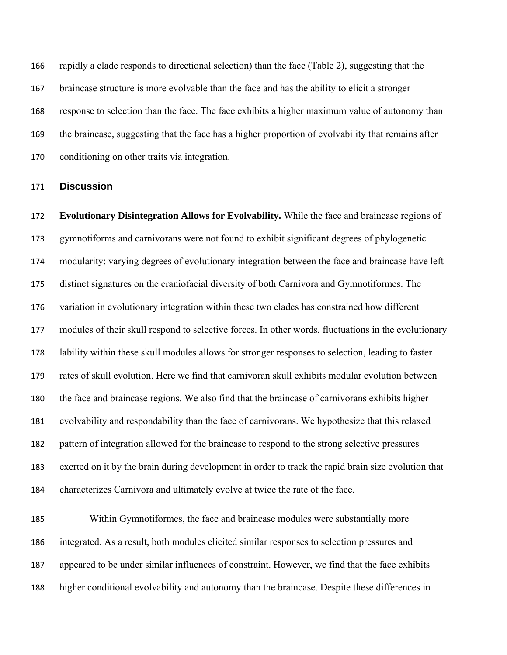rapidly a clade responds to directional selection) than the face (Table 2), suggesting that the braincase structure is more evolvable than the face and has the ability to elicit a stronger response to selection than the face. The face exhibits a higher maximum value of autonomy than the braincase, suggesting that the face has a higher proportion of evolvability that remains after conditioning on other traits via integration.

#### **Discussion**

**Evolutionary Disintegration Allows for Evolvability.** While the face and braincase regions of gymnotiforms and carnivorans were not found to exhibit significant degrees of phylogenetic modularity; varying degrees of evolutionary integration between the face and braincase have left distinct signatures on the craniofacial diversity of both Carnivora and Gymnotiformes. The variation in evolutionary integration within these two clades has constrained how different modules of their skull respond to selective forces. In other words, fluctuations in the evolutionary lability within these skull modules allows for stronger responses to selection, leading to faster rates of skull evolution. Here we find that carnivoran skull exhibits modular evolution between the face and braincase regions. We also find that the braincase of carnivorans exhibits higher evolvability and respondability than the face of carnivorans. We hypothesize that this relaxed pattern of integration allowed for the braincase to respond to the strong selective pressures exerted on it by the brain during development in order to track the rapid brain size evolution that characterizes Carnivora and ultimately evolve at twice the rate of the face.

Within Gymnotiformes, the face and braincase modules were substantially more integrated. As a result, both modules elicited similar responses to selection pressures and appeared to be under similar influences of constraint. However, we find that the face exhibits higher conditional evolvability and autonomy than the braincase. Despite these differences in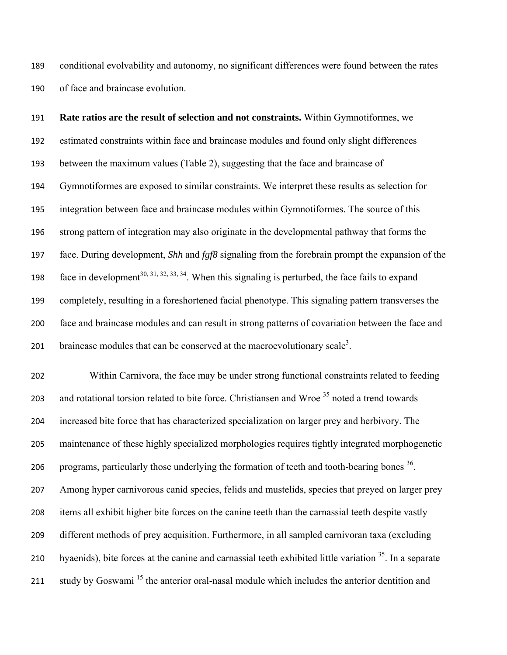conditional evolvability and autonomy, no significant differences were found between the rates of face and braincase evolution.

**Rate ratios are the result of selection and not constraints.** Within Gymnotiformes, we estimated constraints within face and braincase modules and found only slight differences between the maximum values (Table 2), suggesting that the face and braincase of Gymnotiformes are exposed to similar constraints. We interpret these results as selection for integration between face and braincase modules within Gymnotiformes. The source of this strong pattern of integration may also originate in the developmental pathway that forms the face. During development, *Shh* and *fgf8* signaling from the forebrain prompt the expansion of the 198 face in development<sup>30, 31, 32, 33, 34</sup>. When this signaling is perturbed, the face fails to expand completely, resulting in a foreshortened facial phenotype. This signaling pattern transverses the face and braincase modules and can result in strong patterns of covariation between the face and 201 braincase modules that can be conserved at the macroevolutionary scale<sup>3</sup>.

Within Carnivora, the face may be under strong functional constraints related to feeding 203 and rotational torsion related to bite force. Christiansen and Wroe noted a trend towards increased bite force that has characterized specialization on larger prey and herbivory. The maintenance of these highly specialized morphologies requires tightly integrated morphogenetic 206 programs, particularly those underlying the formation of teeth and tooth-bearing bones . Among hyper carnivorous canid species, felids and mustelids, species that preyed on larger prey items all exhibit higher bite forces on the canine teeth than the carnassial teeth despite vastly different methods of prey acquisition. Furthermore, in all sampled carnivoran taxa (excluding 210 hyaenids), bite forces at the canine and carnassial teeth exhibited little variation . In a separate 211 study by Goswami<sup>15</sup> the anterior oral-nasal module which includes the anterior dentition and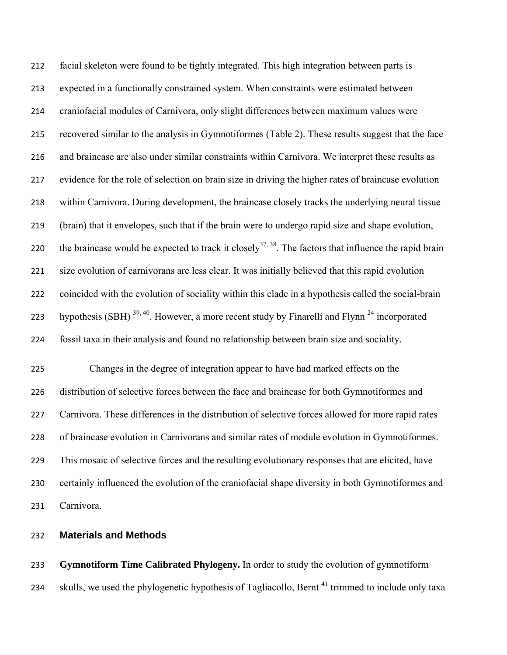facial skeleton were found to be tightly integrated. This high integration between parts is expected in a functionally constrained system. When constraints were estimated between craniofacial modules of Carnivora, only slight differences between maximum values were recovered similar to the analysis in Gymnotiformes (Table 2). These results suggest that the face and braincase are also under similar constraints within Carnivora. We interpret these results as evidence for the role of selection on brain size in driving the higher rates of braincase evolution within Carnivora. During development, the braincase closely tracks the underlying neural tissue (brain) that it envelopes, such that if the brain were to undergo rapid size and shape evolution, 220 the braincase would be expected to track it closely<sup>37, 38</sup>. The factors that influence the rapid brain size evolution of carnivorans are less clear. It was initially believed that this rapid evolution coincided with the evolution of sociality within this clade in a hypothesis called the social-brain 223 hypothesis (SBH)  $39, 40$ . However, a more recent study by Finarelli and Flynn  $24$  incorporated fossil taxa in their analysis and found no relationship between brain size and sociality.

Changes in the degree of integration appear to have had marked effects on the distribution of selective forces between the face and braincase for both Gymnotiformes and Carnivora. These differences in the distribution of selective forces allowed for more rapid rates of braincase evolution in Carnivorans and similar rates of module evolution in Gymnotiformes. This mosaic of selective forces and the resulting evolutionary responses that are elicited, have certainly influenced the evolution of the craniofacial shape diversity in both Gymnotiformes and Carnivora.

**Materials and Methods** 

**Gymnotiform Time Calibrated Phylogeny.** In order to study the evolution of gymnotiform 234 skulls, we used the phylogenetic hypothesis of Tagliacollo, Bernt<sup>41</sup> trimmed to include only taxa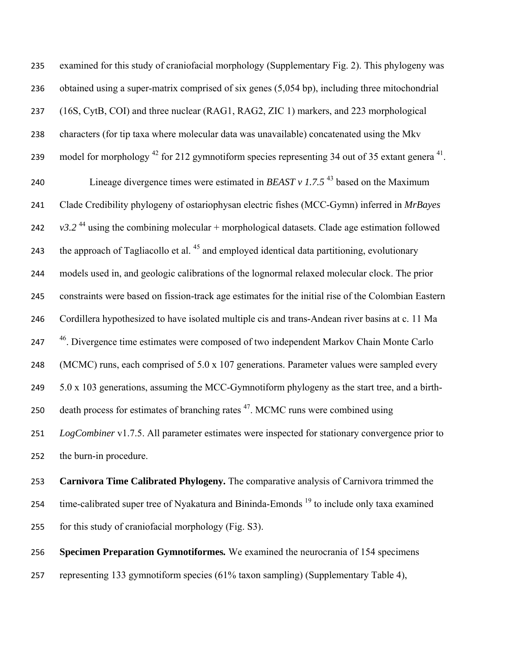examined for this study of craniofacial morphology (Supplementary Fig. 2). This phylogeny was obtained using a super-matrix comprised of six genes (5,054 bp), including three mitochondrial (16S, CytB, COI) and three nuclear (RAG1, RAG2, ZIC 1) markers, and 223 morphological characters (for tip taxa where molecular data was unavailable) concatenated using the Mkv 239 model for morphology for 212 gymnotiform species representing 34 out of 35 extant genera  $41$ . 240 Lineage divergence times were estimated in *BEAST v 1.7.5*<sup>43</sup> based on the Maximum Clade Credibility phylogeny of ostariophysan electric fishes (MCC-Gymn) inferred in *MrBayes*   $v3.2^{44}$  using the combining molecular + morphological datasets. Clade age estimation followed 243 the approach of Tagliacollo et al. and employed identical data partitioning, evolutionary models used in, and geologic calibrations of the lognormal relaxed molecular clock. The prior constraints were based on fission-track age estimates for the initial rise of the Colombian Eastern Cordillera hypothesized to have isolated multiple cis and trans-Andean river basins at c. 11 Ma <sup>46</sup>. Divergence time estimates were composed of two independent Markov Chain Monte Carlo (MCMC) runs, each comprised of 5.0 x 107 generations. Parameter values were sampled every 5.0 x 103 generations, assuming the MCC-Gymnotiform phylogeny as the start tree, and a birth-250 death process for estimates of branching rates . MCMC runs were combined using *LogCombiner* v1.7.5. All parameter estimates were inspected for stationary convergence prior to the burn-in procedure.

**Carnivora Time Calibrated Phylogeny.** The comparative analysis of Carnivora trimmed the 254 time-calibrated super tree of Nyakatura and Bininda-Emonds<sup>19</sup> to include only taxa examined for this study of craniofacial morphology (Fig. S3).

**Specimen Preparation Gymnotiformes***.* We examined the neurocrania of 154 specimens representing 133 gymnotiform species (61% taxon sampling) (Supplementary Table 4),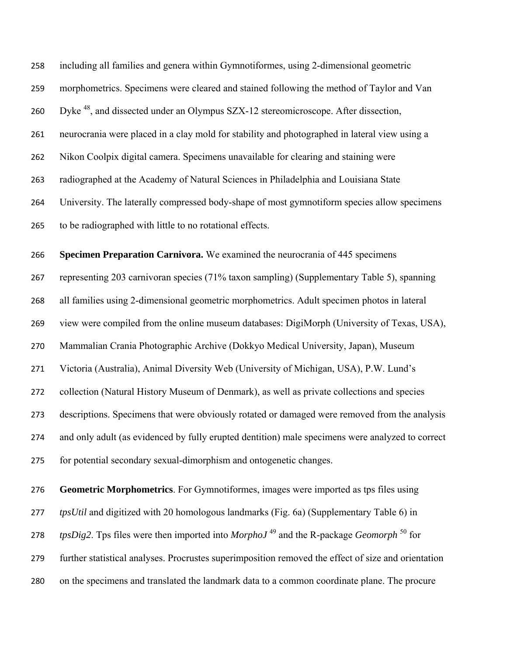including all families and genera within Gymnotiformes, using 2-dimensional geometric morphometrics. Specimens were cleared and stained following the method of Taylor and Van 260 Dyke <sup>48</sup>, and dissected under an Olympus SZX-12 stereomicroscope. After dissection, neurocrania were placed in a clay mold for stability and photographed in lateral view using a Nikon Coolpix digital camera. Specimens unavailable for clearing and staining were radiographed at the Academy of Natural Sciences in Philadelphia and Louisiana State University. The laterally compressed body-shape of most gymnotiform species allow specimens to be radiographed with little to no rotational effects. **Specimen Preparation Carnivora.** We examined the neurocrania of 445 specimens

representing 203 carnivoran species (71% taxon sampling) (Supplementary Table 5), spanning all families using 2-dimensional geometric morphometrics. Adult specimen photos in lateral view were compiled from the online museum databases: DigiMorph (University of Texas, USA), Mammalian Crania Photographic Archive (Dokkyo Medical University, Japan), Museum Victoria (Australia), Animal Diversity Web (University of Michigan, USA), P.W. Lund's collection (Natural History Museum of Denmark), as well as private collections and species descriptions. Specimens that were obviously rotated or damaged were removed from the analysis and only adult (as evidenced by fully erupted dentition) male specimens were analyzed to correct for potential secondary sexual-dimorphism and ontogenetic changes.

**Geometric Morphometrics**. For Gymnotiformes, images were imported as tps files using *tpsUtil* and digitized with 20 homologous landmarks (Fig. 6a) (Supplementary Table 6) in *tpsDig2*. Tps files were then imported into *MorphoJ*<sup>49</sup> and the R-package *Geomorph*<sup>50</sup> for further statistical analyses. Procrustes superimposition removed the effect of size and orientation on the specimens and translated the landmark data to a common coordinate plane. The procure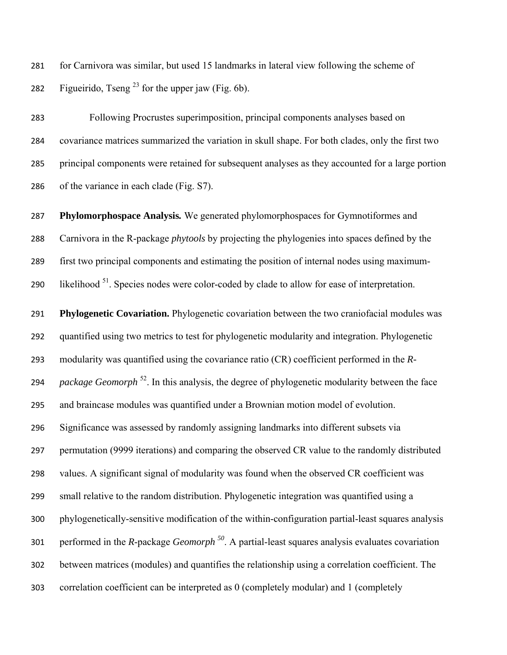for Carnivora was similar, but used 15 landmarks in lateral view following the scheme of 282 Figueirido, Tseng  $^{23}$  for the upper jaw (Fig. 6b).

Following Procrustes superimposition, principal components analyses based on covariance matrices summarized the variation in skull shape. For both clades, only the first two principal components were retained for subsequent analyses as they accounted for a large portion of the variance in each clade (Fig. S7).

**Phylomorphospace Analysis***.* We generated phylomorphospaces for Gymnotiformes and Carnivora in the R-package *phytools* by projecting the phylogenies into spaces defined by the first two principal components and estimating the position of internal nodes using maximum-290 likelihood . Species nodes were color-coded by clade to allow for ease of interpretation.

**Phylogenetic Covariation.** Phylogenetic covariation between the two craniofacial modules was quantified using two metrics to test for phylogenetic modularity and integration. Phylogenetic modularity was quantified using the covariance ratio (CR) coefficient performed in the *R-package Geomorph*<sup>52</sup>. In this analysis, the degree of phylogenetic modularity between the face and braincase modules was quantified under a Brownian motion model of evolution. Significance was assessed by randomly assigning landmarks into different subsets via permutation (9999 iterations) and comparing the observed CR value to the randomly distributed values. A significant signal of modularity was found when the observed CR coefficient was small relative to the random distribution. Phylogenetic integration was quantified using a phylogenetically-sensitive modification of the within-configuration partial-least squares analysis 301 performed in the *R*-package *Geomorph*<sup>50</sup>. A partial-least squares analysis evaluates covariation between matrices (modules) and quantifies the relationship using a correlation coefficient. The correlation coefficient can be interpreted as 0 (completely modular) and 1 (completely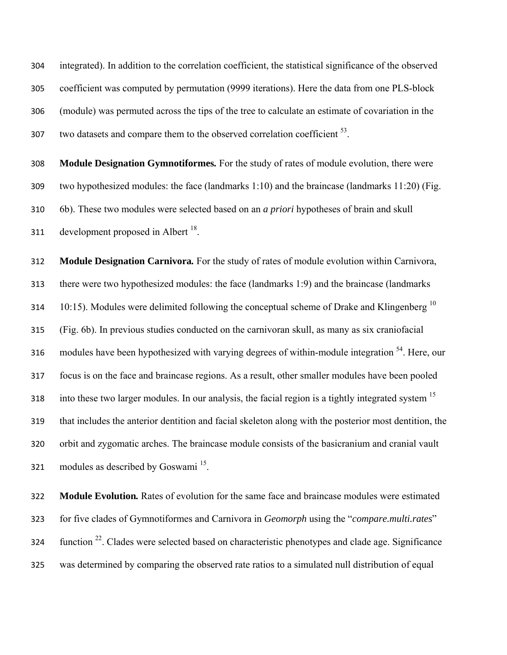integrated). In addition to the correlation coefficient, the statistical significance of the observed coefficient was computed by permutation (9999 iterations). Here the data from one PLS-block (module) was permuted across the tips of the tree to calculate an estimate of covariation in the two datasets and compare them to the observed correlation coefficient .

**Module Designation Gymnotiformes***.* For the study of rates of module evolution, there were two hypothesized modules: the face (landmarks 1:10) and the braincase (landmarks 11:20) (Fig. 6b). These two modules were selected based on an *a priori* hypotheses of brain and skull 311 development proposed in Albert .

**Module Designation Carnivora***.* For the study of rates of module evolution within Carnivora, there were two hypothesized modules: the face (landmarks 1:9) and the braincase (landmarks 10:15). Modules were delimited following the conceptual scheme of Drake and Klingenberg (Fig. 6b). In previous studies conducted on the carnivoran skull, as many as six craniofacial 316 modules have been hypothesized with varying degrees of within-module integration  $<sup>54</sup>$ . Here, our</sup> focus is on the face and braincase regions. As a result, other smaller modules have been pooled 318 into these two larger modules. In our analysis, the facial region is a tightly integrated system that includes the anterior dentition and facial skeleton along with the posterior most dentition, the orbit and zygomatic arches. The braincase module consists of the basicranium and cranial vault 321 modules as described by Goswami<sup>15</sup>.

**Module Evolution***.* Rates of evolution for the same face and braincase modules were estimated for five clades of Gymnotiformes and Carnivora in *Geomorph* using the "*compare.multi.rates*" function <sup>22</sup>. Clades were selected based on characteristic phenotypes and clade age. Significance was determined by comparing the observed rate ratios to a simulated null distribution of equal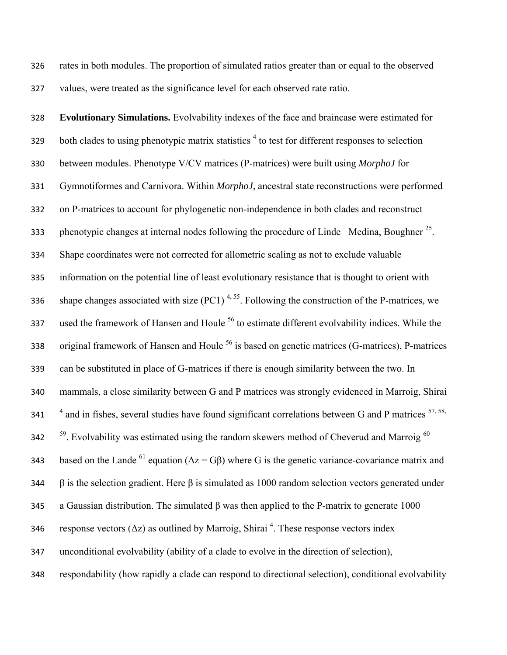rates in both modules. The proportion of simulated ratios greater than or equal to the observed values, were treated as the significance level for each observed rate ratio.

**Evolutionary Simulations.** Evolvability indexes of the face and braincase were estimated for both clades to using phenotypic matrix statistics  $4$  to test for different responses to selection between modules. Phenotype V/CV matrices (P-matrices) were built using *MorphoJ* for Gymnotiformes and Carnivora. Within *MorphoJ*, ancestral state reconstructions were performed on P-matrices to account for phylogenetic non-independence in both clades and reconstruct 333 phenotypic changes at internal nodes following the procedure of Linde Medina, Boughner  $^{25}$ . Shape coordinates were not corrected for allometric scaling as not to exclude valuable information on the potential line of least evolutionary resistance that is thought to orient with 336 shape changes associated with size (PC1)<sup>4, 55</sup>. Following the construction of the P-matrices, we 337 used the framework of Hansen and Houle to estimate different evolvability indices. While the 338 original framework of Hansen and Houle  $<sup>56</sup>$  is based on genetic matrices (G-matrices), P-matrices</sup> can be substituted in place of G-matrices if there is enough similarity between the two. In mammals, a close similarity between G and P matrices was strongly evidenced in Marroig, Shirai  $4^4$  and in fishes, several studies have found significant correlations between G and P matrices  $57,58$ ,  $59.$  Evolvability was estimated using the random skewers method of Cheverud and Marroig  $^{60}$ based on the Lande <sup>61</sup> equation ( $Δz = Gβ$ ) where G is the genetic variance-covariance matrix and β is the selection gradient. Here β is simulated as 1000 random selection vectors generated under 345 a Gaussian distribution. The simulated  $\beta$  was then applied to the P-matrix to generate 1000 response vectors ( $Δz$ ) as outlined by Marroig, Shirai<sup>4</sup>. These response vectors index unconditional evolvability (ability of a clade to evolve in the direction of selection), respondability (how rapidly a clade can respond to directional selection), conditional evolvability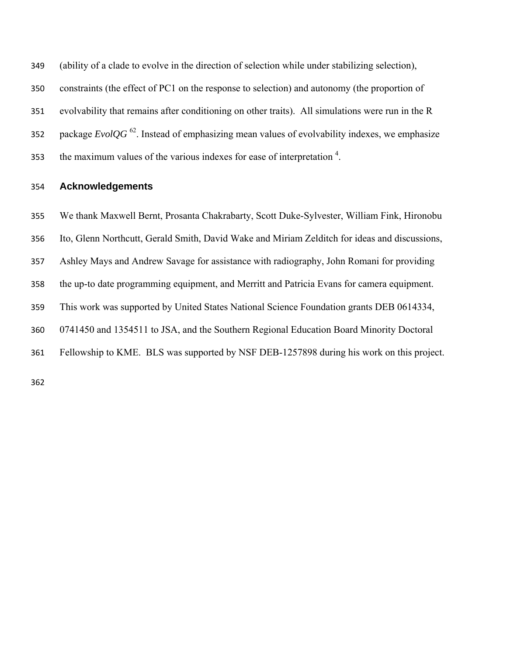(ability of a clade to evolve in the direction of selection while under stabilizing selection),

constraints (the effect of PC1 on the response to selection) and autonomy (the proportion of

evolvability that remains after conditioning on other traits). All simulations were run in the R

352 package  $EvolOG^{62}$ . Instead of emphasizing mean values of evolvability indexes, we emphasize the maximum values of the various indexes for ease of interpretation .

#### **Acknowledgements**

We thank Maxwell Bernt, Prosanta Chakrabarty, Scott Duke-Sylvester, William Fink, Hironobu Ito, Glenn Northcutt, Gerald Smith, David Wake and Miriam Zelditch for ideas and discussions, Ashley Mays and Andrew Savage for assistance with radiography, John Romani for providing the up-to date programming equipment, and Merritt and Patricia Evans for camera equipment. This work was supported by United States National Science Foundation grants DEB 0614334, 0741450 and 1354511 to JSA, and the Southern Regional Education Board Minority Doctoral Fellowship to KME. BLS was supported by NSF DEB-1257898 during his work on this project.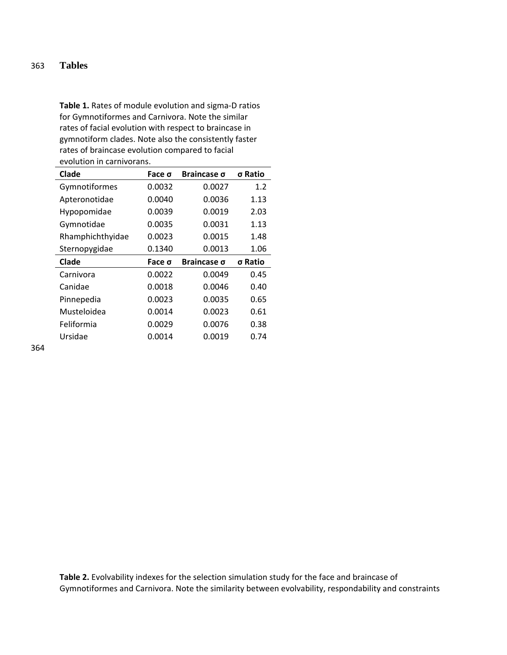## 363 **Tables**

**Table 1.** Rates of module evolution and sigma-D ratios for Gymnotiformes and Carnivora. Note the similar rates of facial evolution with respect to braincase in gymnotiform clades. Note also the consistently faster rates of braincase evolution compared to facial evolution in carnivorans.

| Clade            | Face $\sigma$ | Braincase σ | σ Ratio |
|------------------|---------------|-------------|---------|
| Gymnotiformes    | 0.0032        | 0.0027      | 1.2     |
| Apteronotidae    | 0.0040        | 0.0036      | 1.13    |
| Hypopomidae      | 0.0039        | 0.0019      | 2.03    |
| Gymnotidae       | 0.0035        | 0.0031      | 1.13    |
| Rhamphichthyidae | 0.0023        | 0.0015      | 1.48    |
| Sternopygidae    | 0.1340        | 0.0013      | 1.06    |
|                  |               |             |         |
| Clade            | Face $\sigma$ | Braincase σ | σ Ratio |
| Carnivora        | 0.0022        | 0.0049      | 0.45    |
| Canidae          | 0.0018        | 0.0046      | 0.40    |
| Pinnepedia       | 0.0023        | 0.0035      | 0.65    |
| Musteloidea      | 0.0014        | 0.0023      | 0.61    |
| Feliformia       | 0.0029        | 0.0076      | 0.38    |

**Table 2.** Evolvability indexes for the selection simulation study for the face and braincase of Gymnotiformes and Carnivora. Note the similarity between evolvability, respondability and constraints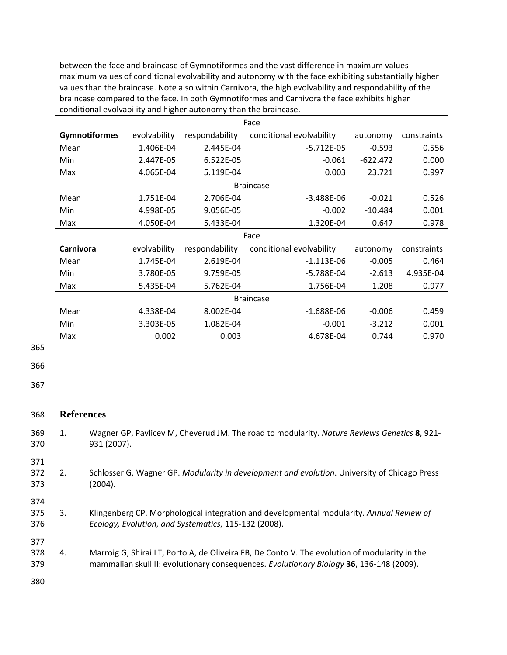between the face and braincase of Gymnotiformes and the vast difference in maximum values maximum values of conditional evolvability and autonomy with the face exhibiting substantially higher values than the braincase. Note also within Carnivora, the high evolvability and respondability of the braincase compared to the face. In both Gymnotiformes and Carnivora the face exhibits higher conditional evolvability and higher autonomy than the braincase.

|                      |              |                | Face                     |            |             |
|----------------------|--------------|----------------|--------------------------|------------|-------------|
| <b>Gymnotiformes</b> | evolvability | respondability | conditional evolvability | autonomy   | constraints |
| Mean                 | 1.406E-04    | 2.445E-04      | $-5.712E-05$             | $-0.593$   | 0.556       |
| Min                  | 2.447E-05    | 6.522E-05      | $-0.061$                 | $-622.472$ | 0.000       |
| Max                  | 4.065E-04    | 5.119E-04      | 0.003                    | 23.721     | 0.997       |
|                      |              |                | <b>Braincase</b>         |            |             |
| Mean                 | 1.751E-04    | 2.706E-04      | $-3.488E - 06$           | $-0.021$   | 0.526       |
| Min                  | 4.998E-05    | 9.056E-05      | $-0.002$                 | $-10.484$  | 0.001       |
| Max                  | 4.050E-04    | 5.433E-04      | 1.320E-04                | 0.647      | 0.978       |
|                      |              |                | Face                     |            |             |
| Carnivora            | evolvability | respondability | conditional evolvability | autonomy   | constraints |
| Mean                 | 1.745E-04    | 2.619E-04      | $-1.113E-06$             | $-0.005$   | 0.464       |
| Min                  | 3.780E-05    | 9.759E-05      | $-5.788E-04$             | $-2.613$   | 4.935E-04   |
| Max                  | 5.435E-04    | 5.762E-04      | 1.756E-04                | 1.208      | 0.977       |
| <b>Braincase</b>     |              |                |                          |            |             |
|                      |              |                |                          |            |             |
| Mean                 | 4.338E-04    | 8.002E-04      | $-1.688E-06$             | $-0.006$   | 0.459       |
| Min                  | 3.303E-05    | 1.082E-04      | $-0.001$                 | $-3.212$   | 0.001       |
| Max                  | 0.002        | 0.003          | 4.678E-04                | 0.744      | 0.970       |

365

366

367

#### 368 **References**

369 1. Wagner GP, Pavlicev M, Cheverud JM. The road to modularity. *Nature Reviews Genetics* **8**, 921- 370 931 (2007). 371 372 2. Schlosser G, Wagner GP. *Modularity in development and evolution*. University of Chicago Press 373 (2004). 374

- 375 3. Klingenberg CP. Morphological integration and developmental modularity. *Annual Review of*  376 *Ecology, Evolution, and Systematics*, 115-132 (2008).
- 378 4. Marroig G, Shirai LT, Porto A, de Oliveira FB, De Conto V. The evolution of modularity in the 379 mammalian skull II: evolutionary consequences. *Evolutionary Biology* **36**, 136-148 (2009).

380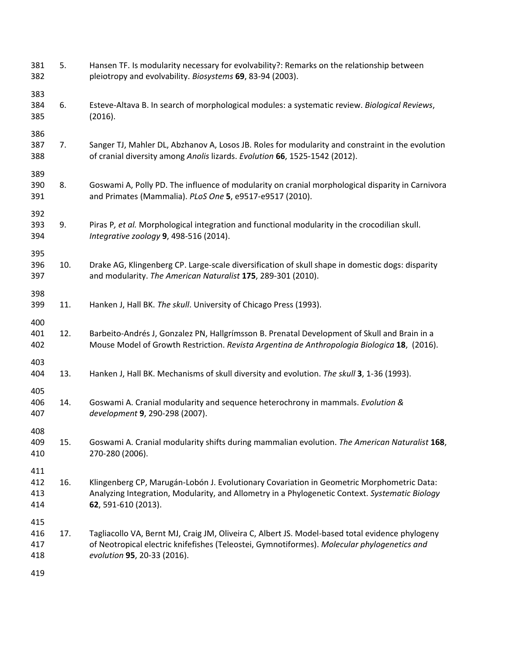| 381<br>382               | 5.  | Hansen TF. Is modularity necessary for evolvability?: Remarks on the relationship between<br>pleiotropy and evolvability. Biosystems 69, 83-94 (2003).                                                                        |
|--------------------------|-----|-------------------------------------------------------------------------------------------------------------------------------------------------------------------------------------------------------------------------------|
| 383<br>384<br>385        | 6.  | Esteve-Altava B. In search of morphological modules: a systematic review. Biological Reviews,<br>(2016).                                                                                                                      |
| 386<br>387<br>388        | 7.  | Sanger TJ, Mahler DL, Abzhanov A, Losos JB. Roles for modularity and constraint in the evolution<br>of cranial diversity among Anolis lizards. Evolution 66, 1525-1542 (2012).                                                |
| 389<br>390<br>391        | 8.  | Goswami A, Polly PD. The influence of modularity on cranial morphological disparity in Carnivora<br>and Primates (Mammalia). PLoS One 5, e9517-e9517 (2010).                                                                  |
| 392<br>393<br>394        | 9.  | Piras P, et al. Morphological integration and functional modularity in the crocodilian skull.<br>Integrative zoology 9, 498-516 (2014).                                                                                       |
| 395<br>396<br>397        | 10. | Drake AG, Klingenberg CP. Large-scale diversification of skull shape in domestic dogs: disparity<br>and modularity. The American Naturalist 175, 289-301 (2010).                                                              |
| 398<br>399               | 11. | Hanken J, Hall BK. The skull. University of Chicago Press (1993).                                                                                                                                                             |
| 400<br>401<br>402        | 12. | Barbeito-Andrés J, Gonzalez PN, Hallgrímsson B. Prenatal Development of Skull and Brain in a<br>Mouse Model of Growth Restriction. Revista Argentina de Anthropologia Biologica 18, (2016).                                   |
| 403<br>404               | 13. | Hanken J, Hall BK. Mechanisms of skull diversity and evolution. The skull 3, 1-36 (1993).                                                                                                                                     |
| 405<br>406<br>407        | 14. | Goswami A. Cranial modularity and sequence heterochrony in mammals. Evolution &<br>development 9, 290-298 (2007).                                                                                                             |
| 408<br>409<br>410        | 15. | Goswami A. Cranial modularity shifts during mammalian evolution. The American Naturalist 168,<br>270-280 (2006).                                                                                                              |
| 411<br>412<br>413<br>414 | 16. | Klingenberg CP, Marugán-Lobón J. Evolutionary Covariation in Geometric Morphometric Data:<br>Analyzing Integration, Modularity, and Allometry in a Phylogenetic Context. Systematic Biology<br>62, 591-610 (2013).            |
| 415<br>416<br>417<br>418 | 17. | Tagliacollo VA, Bernt MJ, Craig JM, Oliveira C, Albert JS. Model-based total evidence phylogeny<br>of Neotropical electric knifefishes (Teleostei, Gymnotiformes). Molecular phylogenetics and<br>evolution 95, 20-33 (2016). |
| 419                      |     |                                                                                                                                                                                                                               |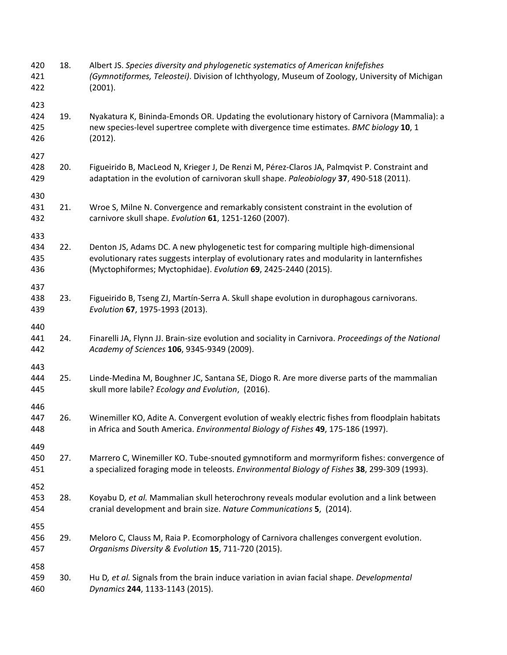| 420<br>421<br>422        | 18. | Albert JS. Species diversity and phylogenetic systematics of American knifefishes<br>(Gymnotiformes, Teleostei). Division of Ichthyology, Museum of Zoology, University of Michigan<br>(2001).                                                        |
|--------------------------|-----|-------------------------------------------------------------------------------------------------------------------------------------------------------------------------------------------------------------------------------------------------------|
| 423<br>424<br>425<br>426 | 19. | Nyakatura K, Bininda-Emonds OR. Updating the evolutionary history of Carnivora (Mammalia): a<br>new species-level supertree complete with divergence time estimates. BMC biology 10, 1<br>(2012).                                                     |
| 427<br>428<br>429        | 20. | Figueirido B, MacLeod N, Krieger J, De Renzi M, Pérez-Claros JA, Palmqvist P. Constraint and<br>adaptation in the evolution of carnivoran skull shape. Paleobiology 37, 490-518 (2011).                                                               |
| 430<br>431<br>432        | 21. | Wroe S, Milne N. Convergence and remarkably consistent constraint in the evolution of<br>carnivore skull shape. Evolution 61, 1251-1260 (2007).                                                                                                       |
| 433<br>434<br>435<br>436 | 22. | Denton JS, Adams DC. A new phylogenetic test for comparing multiple high-dimensional<br>evolutionary rates suggests interplay of evolutionary rates and modularity in lanternfishes<br>(Myctophiformes; Myctophidae). Evolution 69, 2425-2440 (2015). |
| 437<br>438<br>439        | 23. | Figueirido B, Tseng ZJ, Martín-Serra A. Skull shape evolution in durophagous carnivorans.<br>Evolution 67, 1975-1993 (2013).                                                                                                                          |
| 440<br>441<br>442        | 24. | Finarelli JA, Flynn JJ. Brain-size evolution and sociality in Carnivora. Proceedings of the National<br>Academy of Sciences 106, 9345-9349 (2009).                                                                                                    |
| 443<br>444<br>445        | 25. | Linde-Medina M, Boughner JC, Santana SE, Diogo R. Are more diverse parts of the mammalian<br>skull more labile? Ecology and Evolution, (2016).                                                                                                        |
| 446<br>447<br>448        | 26. | Winemiller KO, Adite A. Convergent evolution of weakly electric fishes from floodplain habitats<br>in Africa and South America. Environmental Biology of Fishes 49, 175-186 (1997).                                                                   |
| 449<br>450<br>451        | 27. | Marrero C, Winemiller KO. Tube-snouted gymnotiform and mormyriform fishes: convergence of<br>a specialized foraging mode in teleosts. Environmental Biology of Fishes 38, 299-309 (1993).                                                             |
| 452<br>453<br>454        | 28. | Koyabu D, et al. Mammalian skull heterochrony reveals modular evolution and a link between<br>cranial development and brain size. Nature Communications 5, (2014).                                                                                    |
| 455<br>456<br>457        | 29. | Meloro C, Clauss M, Raia P. Ecomorphology of Carnivora challenges convergent evolution.<br>Organisms Diversity & Evolution 15, 711-720 (2015).                                                                                                        |
| 458<br>459<br>460        | 30. | Hu D, et al. Signals from the brain induce variation in avian facial shape. Developmental<br>Dynamics 244, 1133-1143 (2015).                                                                                                                          |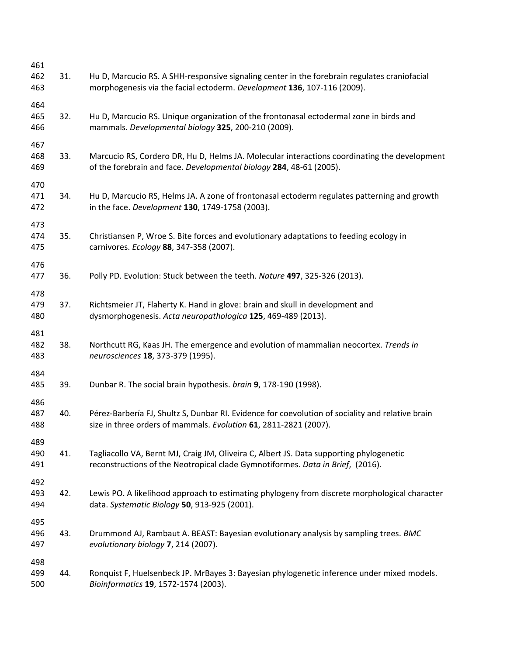| 461<br>462<br>463 | 31. | Hu D, Marcucio RS. A SHH-responsive signaling center in the forebrain regulates craniofacial<br>morphogenesis via the facial ectoderm. Development 136, 107-116 (2009).   |
|-------------------|-----|---------------------------------------------------------------------------------------------------------------------------------------------------------------------------|
| 464<br>465<br>466 | 32. | Hu D, Marcucio RS. Unique organization of the frontonasal ectodermal zone in birds and<br>mammals. Developmental biology 325, 200-210 (2009).                             |
| 467<br>468<br>469 | 33. | Marcucio RS, Cordero DR, Hu D, Helms JA. Molecular interactions coordinating the development<br>of the forebrain and face. Developmental biology 284, 48-61 (2005).       |
| 470<br>471<br>472 | 34. | Hu D, Marcucio RS, Helms JA. A zone of frontonasal ectoderm regulates patterning and growth<br>in the face. Development 130, 1749-1758 (2003).                            |
| 473<br>474<br>475 | 35. | Christiansen P, Wroe S. Bite forces and evolutionary adaptations to feeding ecology in<br>carnivores. Ecology 88, 347-358 (2007).                                         |
| 476<br>477        | 36. | Polly PD. Evolution: Stuck between the teeth. Nature 497, 325-326 (2013).                                                                                                 |
| 478<br>479<br>480 | 37. | Richtsmeier JT, Flaherty K. Hand in glove: brain and skull in development and<br>dysmorphogenesis. Acta neuropathologica 125, 469-489 (2013).                             |
| 481<br>482<br>483 | 38. | Northcutt RG, Kaas JH. The emergence and evolution of mammalian neocortex. Trends in<br>neurosciences 18, 373-379 (1995).                                                 |
| 484<br>485        | 39. | Dunbar R. The social brain hypothesis. brain 9, 178-190 (1998).                                                                                                           |
| 486<br>487<br>488 | 40. | Pérez-Barbería FJ, Shultz S, Dunbar RI. Evidence for coevolution of sociality and relative brain<br>size in three orders of mammals. Evolution 61, 2811-2821 (2007).      |
| 489<br>490<br>491 | 41. | Tagliacollo VA, Bernt MJ, Craig JM, Oliveira C, Albert JS. Data supporting phylogenetic<br>reconstructions of the Neotropical clade Gymnotiformes. Data in Brief, (2016). |
| 492<br>493<br>494 | 42. | Lewis PO. A likelihood approach to estimating phylogeny from discrete morphological character<br>data. Systematic Biology 50, 913-925 (2001).                             |
| 495<br>496<br>497 | 43. | Drummond AJ, Rambaut A. BEAST: Bayesian evolutionary analysis by sampling trees. BMC<br>evolutionary biology 7, 214 (2007).                                               |
| 498<br>499<br>500 | 44. | Ronquist F, Huelsenbeck JP. MrBayes 3: Bayesian phylogenetic inference under mixed models.<br>Bioinformatics 19, 1572-1574 (2003).                                        |
|                   |     |                                                                                                                                                                           |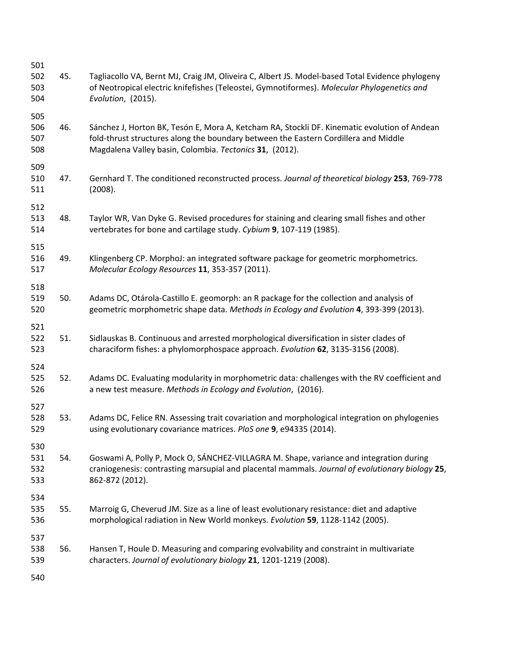| 501<br>502<br>503<br>504 | 45. | Tagliacollo VA, Bernt MJ, Craig JM, Oliveira C, Albert JS. Model-based Total Evidence phylogeny<br>of Neotropical electric knifefishes (Teleostei, Gymnotiformes). Molecular Phylogenetics and<br>Evolution, (2015).                           |
|--------------------------|-----|------------------------------------------------------------------------------------------------------------------------------------------------------------------------------------------------------------------------------------------------|
| 505<br>506<br>507<br>508 | 46. | Sánchez J, Horton BK, Tesón E, Mora A, Ketcham RA, Stockli DF. Kinematic evolution of Andean<br>fold-thrust structures along the boundary between the Eastern Cordillera and Middle<br>Magdalena Valley basin, Colombia. Tectonics 31, (2012). |
| 509<br>510<br>511        | 47. | Gernhard T. The conditioned reconstructed process. Journal of theoretical biology 253, 769-778<br>(2008).                                                                                                                                      |
| 512<br>513<br>514        | 48. | Taylor WR, Van Dyke G. Revised procedures for staining and clearing small fishes and other<br>vertebrates for bone and cartilage study. Cybium 9, 107-119 (1985).                                                                              |
| 515<br>516<br>517        | 49. | Klingenberg CP. MorphoJ: an integrated software package for geometric morphometrics.<br>Molecular Ecology Resources 11, 353-357 (2011).                                                                                                        |
| 518<br>519<br>520        | 50. | Adams DC, Otárola-Castillo E. geomorph: an R package for the collection and analysis of<br>geometric morphometric shape data. Methods in Ecology and Evolution 4, 393-399 (2013).                                                              |
| 521<br>522<br>523        | 51. | Sidlauskas B. Continuous and arrested morphological diversification in sister clades of<br>characiform fishes: a phylomorphospace approach. Evolution 62, 3135-3156 (2008).                                                                    |
| 524<br>525<br>526        | 52. | Adams DC. Evaluating modularity in morphometric data: challenges with the RV coefficient and<br>a new test measure. Methods in Ecology and Evolution, (2016).                                                                                  |
| 527<br>528<br>529        | 53. | Adams DC, Felice RN. Assessing trait covariation and morphological integration on phylogenies<br>using evolutionary covariance matrices. PloS one 9, e94335 (2014).                                                                            |
| 530<br>531<br>532<br>533 | 54. | Goswami A, Polly P, Mock O, SÁNCHEZ-VILLAGRA M. Shape, variance and integration during<br>craniogenesis: contrasting marsupial and placental mammals. Journal of evolutionary biology 25,<br>862-872 (2012).                                   |
| 534<br>535<br>536        | 55. | Marroig G, Cheverud JM. Size as a line of least evolutionary resistance: diet and adaptive<br>morphological radiation in New World monkeys. Evolution 59, 1128-1142 (2005).                                                                    |
| 537<br>538<br>539        | 56. | Hansen T, Houle D. Measuring and comparing evolvability and constraint in multivariate<br>characters. Journal of evolutionary biology 21, 1201-1219 (2008).                                                                                    |
| 540                      |     |                                                                                                                                                                                                                                                |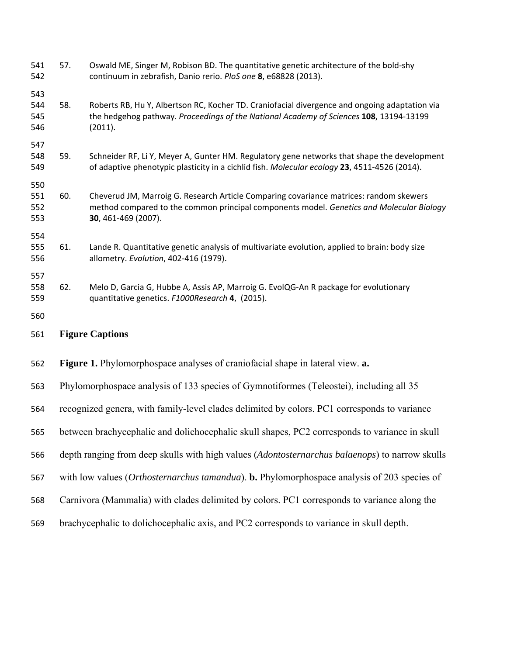| 541<br>542               | 57. | Oswald ME, Singer M, Robison BD. The quantitative genetic architecture of the bold-shy<br>continuum in zebrafish, Danio rerio. PloS one 8, e68828 (2013).                                                 |
|--------------------------|-----|-----------------------------------------------------------------------------------------------------------------------------------------------------------------------------------------------------------|
| 543<br>544<br>545<br>546 | 58. | Roberts RB, Hu Y, Albertson RC, Kocher TD. Craniofacial divergence and ongoing adaptation via<br>the hedgehog pathway. Proceedings of the National Academy of Sciences 108, 13194-13199<br>(2011).        |
| 547<br>548<br>549        | 59. | Schneider RF, Li Y, Meyer A, Gunter HM. Regulatory gene networks that shape the development<br>of adaptive phenotypic plasticity in a cichlid fish. Molecular ecology 23, 4511-4526 (2014).               |
| 550<br>551<br>552<br>553 | 60. | Cheverud JM, Marroig G. Research Article Comparing covariance matrices: random skewers<br>method compared to the common principal components model. Genetics and Molecular Biology<br>30, 461-469 (2007). |
| 554<br>555<br>556        | 61. | Lande R. Quantitative genetic analysis of multivariate evolution, applied to brain: body size<br>allometry. Evolution, 402-416 (1979).                                                                    |
| 557<br>558<br>559        | 62. | Melo D, Garcia G, Hubbe A, Assis AP, Marroig G. EvolQG-An R package for evolutionary<br>quantitative genetics. F1000Research 4, (2015).                                                                   |
| 560                      |     |                                                                                                                                                                                                           |
| 561                      |     | <b>Figure Captions</b>                                                                                                                                                                                    |
| 562                      |     | <b>Figure 1.</b> Phylomorphospace analyses of craniofacial shape in lateral view. <b>a.</b>                                                                                                               |
| 563                      |     | Phylomorphospace analysis of 133 species of Gymnotiformes (Teleostei), including all 35                                                                                                                   |
| 564                      |     | recognized genera, with family-level clades delimited by colors. PC1 corresponds to variance                                                                                                              |
| 565                      |     | between brachycephalic and dolichocephalic skull shapes, PC2 corresponds to variance in skull                                                                                                             |
| 566                      |     | depth ranging from deep skulls with high values (Adontosternarchus balaenops) to narrow skulls                                                                                                            |
| 567                      |     | with low values (Orthosternarchus tamandua). <b>b.</b> Phylomorphospace analysis of 203 species of                                                                                                        |
| 568                      |     | Carnivora (Mammalia) with clades delimited by colors. PC1 corresponds to variance along the                                                                                                               |

569 brachycephalic to dolichocephalic axis, and PC2 corresponds to variance in skull depth.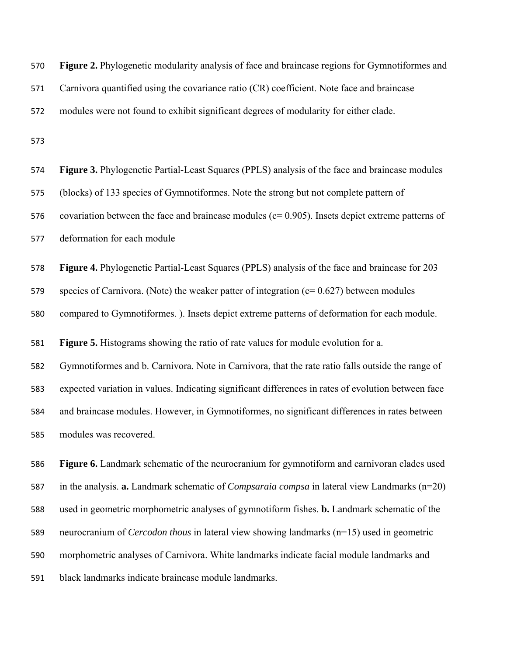**Figure 2.** Phylogenetic modularity analysis of face and braincase regions for Gymnotiformes and Carnivora quantified using the covariance ratio (CR) coefficient. Note face and braincase modules were not found to exhibit significant degrees of modularity for either clade.

**Figure 3.** Phylogenetic Partial-Least Squares (PPLS) analysis of the face and braincase modules (blocks) of 133 species of Gymnotiformes. Note the strong but not complete pattern of 576 covariation between the face and braincase modules ( $c= 0.905$ ). Insets depict extreme patterns of deformation for each module

**Figure 4.** Phylogenetic Partial-Least Squares (PPLS) analysis of the face and braincase for 203 579 species of Carnivora. (Note) the weaker patter of integration ( $c= 0.627$ ) between modules

compared to Gymnotiformes. ). Insets depict extreme patterns of deformation for each module.

**Figure 5.** Histograms showing the ratio of rate values for module evolution for a.

Gymnotiformes and b. Carnivora. Note in Carnivora, that the rate ratio falls outside the range of expected variation in values. Indicating significant differences in rates of evolution between face and braincase modules. However, in Gymnotiformes, no significant differences in rates between modules was recovered.

**Figure 6.** Landmark schematic of the neurocranium for gymnotiform and carnivoran clades used in the analysis. **a.** Landmark schematic of *Compsaraia compsa* in lateral view Landmarks (n=20) used in geometric morphometric analyses of gymnotiform fishes. **b.** Landmark schematic of the neurocranium of *Cercodon thous* in lateral view showing landmarks (n=15) used in geometric morphometric analyses of Carnivora. White landmarks indicate facial module landmarks and black landmarks indicate braincase module landmarks.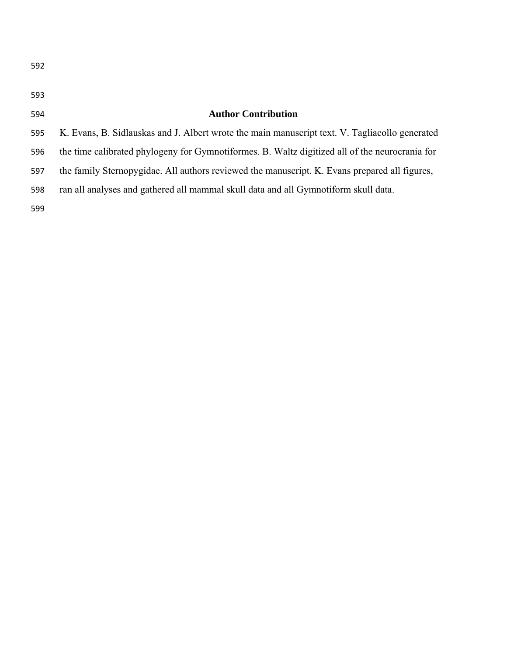| 592 |                                                                                                |
|-----|------------------------------------------------------------------------------------------------|
| 593 |                                                                                                |
| 594 | <b>Author Contribution</b>                                                                     |
| 595 | K. Evans, B. Sidlauskas and J. Albert wrote the main manuscript text. V. Tagliacollo generated |
| 596 | the time calibrated phylogeny for Gymnotiformes. B. Waltz digitized all of the neurocrania for |
| 597 | the family Sternopygidae. All authors reviewed the manuscript. K. Evans prepared all figures,  |
| 598 | ran all analyses and gathered all mammal skull data and all Gymnotiform skull data.            |
| 599 |                                                                                                |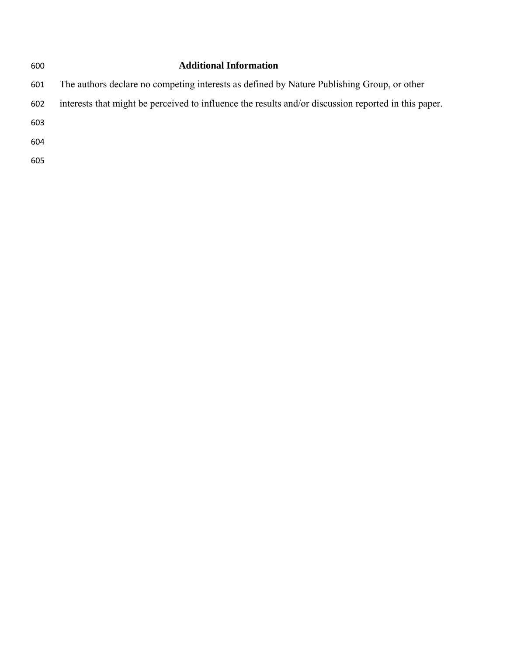| 600 | <b>Additional Information</b>                                                                        |
|-----|------------------------------------------------------------------------------------------------------|
| 601 | The authors declare no competing interests as defined by Nature Publishing Group, or other           |
| 602 | interests that might be perceived to influence the results and/or discussion reported in this paper. |
| 603 |                                                                                                      |
| 604 |                                                                                                      |
| 605 |                                                                                                      |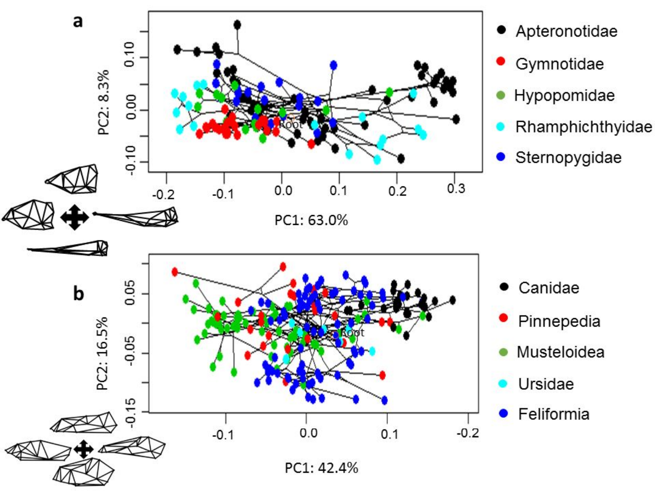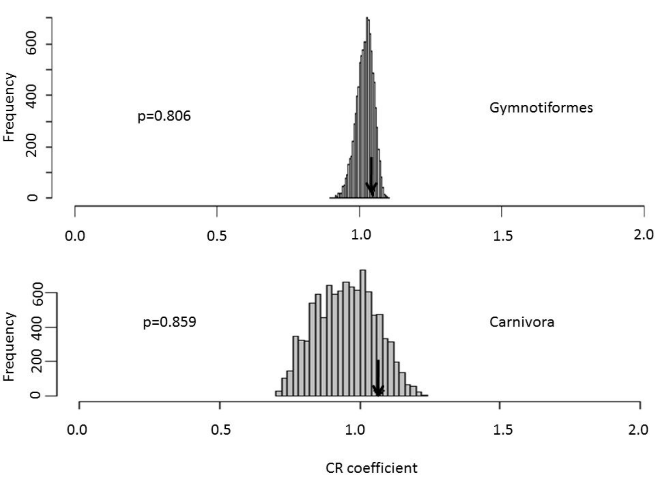

CR coefficient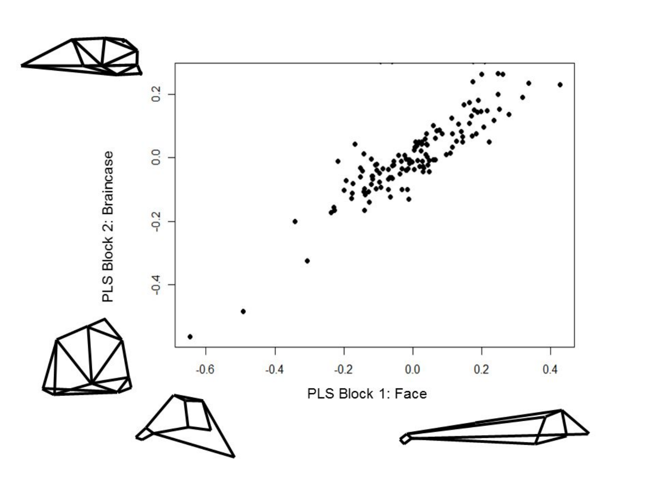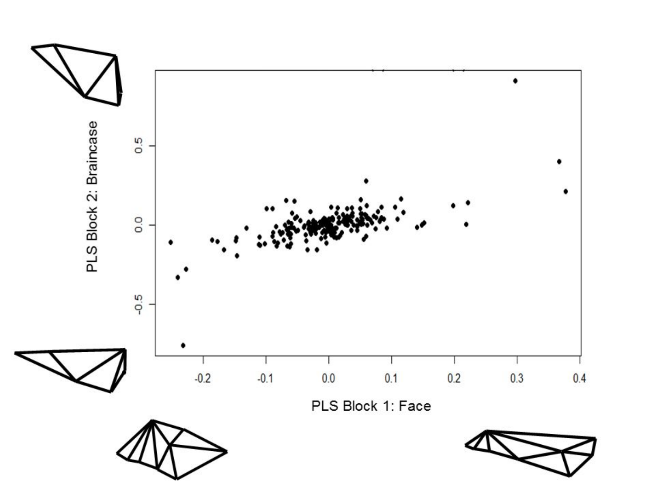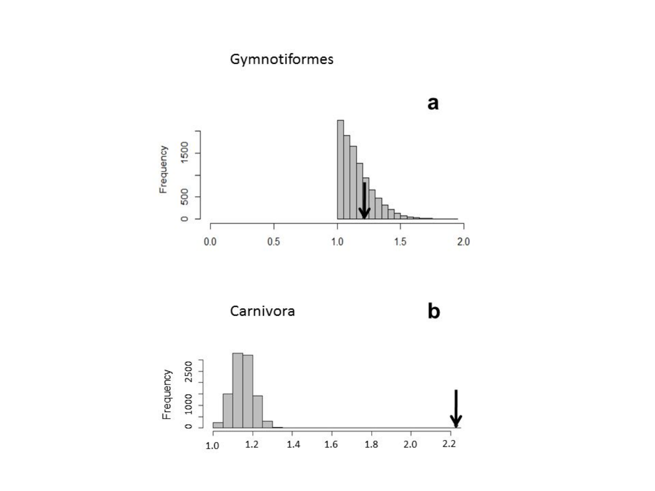# Gymnotiformes